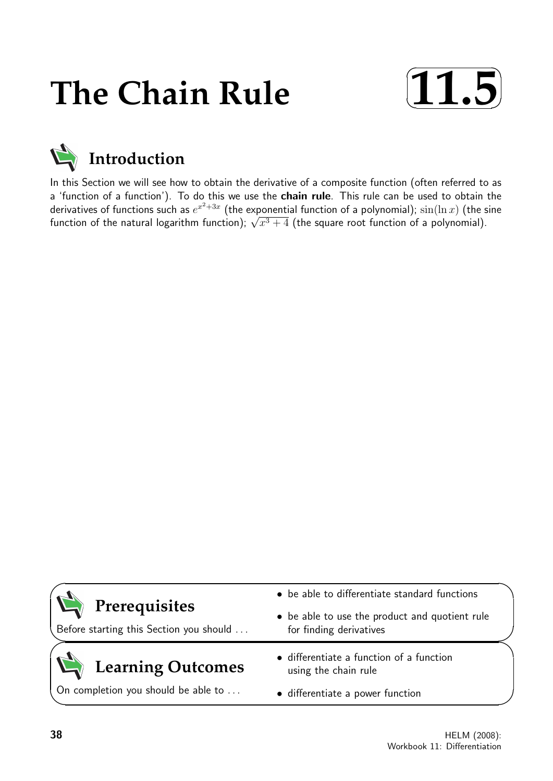# **The Chain Rule**





In this Section we will see how to obtain the derivative of a composite function (often referred to as a 'function of a function'). To do this we use the chain rule. This rule can be used to obtain the derivatives of functions such as  $e^{x^2+3x}$  (the exponential function of a polynomial);  $\sin(\ln x)$  (the sine derivatives of functions such as  $e^{-(\infty - \epsilon)}$  (the exponential function of a polynomial);  $\sin(\ln x)$  (the s<br>function of the natural logarithm function);  $\sqrt{x^3+4}$  (the square root function of a polynomial).

| Prerequisites<br>Before starting this Section you should | • be able to differentiate standard functions                             |  |
|----------------------------------------------------------|---------------------------------------------------------------------------|--|
|                                                          | • be able to use the product and quotient rule<br>for finding derivatives |  |
| Learning Outcomes                                        | • differentiate a function of a function<br>using the chain rule          |  |
| On completion you should be able to                      | • differentiate a power function                                          |  |

 $\overline{\phantom{0}}$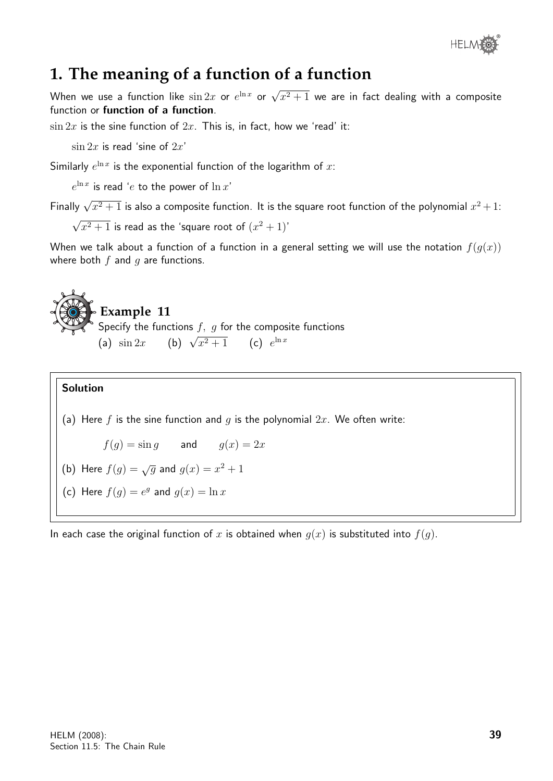

## **1. The meaning of a function of a function**

When we use a function like  $\sin 2x$  or  $e^{\ln x}$  or  $\sqrt{x^2+1}$  we are in fact dealing with a composite function or function of a function.

 $\sin 2x$  is the sine function of  $2x$ . This is, in fact, how we 'read' it:

 $\sin 2x$  is read 'sine of  $2x'$ 

Similarly  $e^{\ln x}$  is the exponential function of the logarithm of x:

 $e^{\ln x}$  is read ' $e$  to the power of  $\ln x^{\prime}$ 

Finally  $\sqrt{x^2+1}$  is also a composite function. It is the square root function of the polynomial  $x^2+1$ :

√  $\sqrt{x^2+1}$  is read as the 'square root of  $(x^2+1)'$ 

When we talk about a function of a function in a general setting we will use the notation  $f(q(x))$ where both  $f$  and  $q$  are functions.

## **Example 11** Specify the functions  $f, g$  for the composite functions (a)  $\sin 2x$  (b)  $\sqrt{x^2 + 1}$  (c)  $e^{\ln x}$

#### Solution

(a) Here f is the sine function and g is the polynomial  $2x$ . We often write:

 $f(g) = \sin g$  and  $g(x) = 2x$ 

(b) Here 
$$
f(g) = \sqrt{g}
$$
 and  $g(x) = x^2 + 1$ 

(c) Here  $f(g) = e^g$  and  $g(x) = \ln x$ 

In each case the original function of x is obtained when  $q(x)$  is substituted into  $f(q)$ .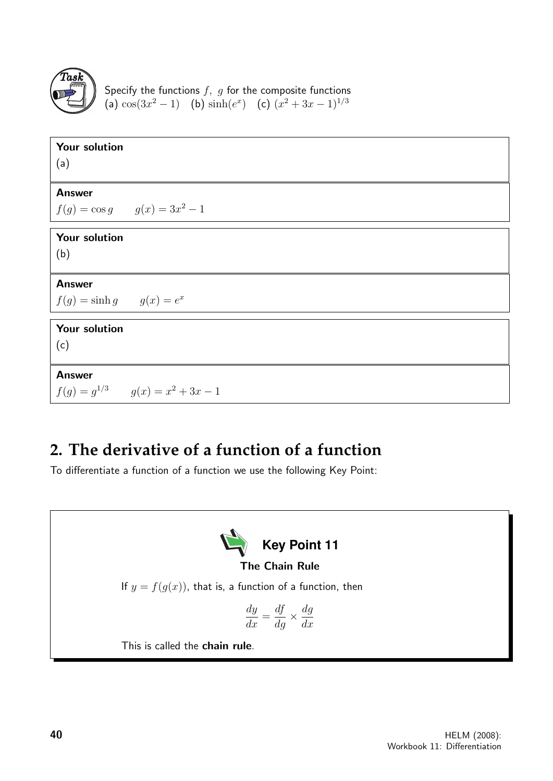

Specify the functions  $f,~g$  for the composite functions (a)  $\cos(3x^2-1)$  (b)  $\sinh(e^x)$  (c)  $(x^2+3x-1)^{1/3}$ 

| Your solution                          |
|----------------------------------------|
| (a)                                    |
|                                        |
| <b>Answer</b>                          |
| $f(g) = \cos g$ $g(x) = 3x^2 - 1$      |
| Your solution                          |
| (b)                                    |
|                                        |
| <b>Answer</b>                          |
| $f(g) = \sinh g$ $g(x) = e^x$          |
| Your solution                          |
| (c)                                    |
|                                        |
| <b>Answer</b>                          |
| $f(g) = g^{1/3}$ $g(x) = x^2 + 3x - 1$ |

## **2. The derivative of a function of a function**

To differentiate a function of a function we use the following Key Point:

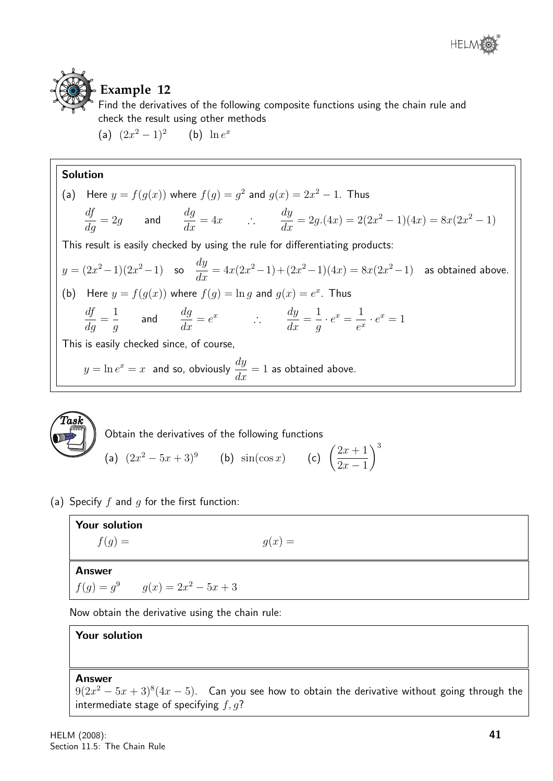



### **Example 12**

Find the derivatives of the following composite functions using the chain rule and check the result using other methods

(a)  $(2x^2 - 1)^2$  (b)  $\ln e^x$ 

#### Solution

(a) Here 
$$
y = f(g(x))
$$
 where  $f(g) = g^2$  and  $g(x) = 2x^2 - 1$ . Thus  
\n
$$
\frac{df}{dg} = 2g
$$
 and 
$$
\frac{dg}{dx} = 4x
$$
  $\therefore$  
$$
\frac{dy}{dx} = 2g.(4x) = 2(2x^2 - 1)(4x) = 8x(2x^2 - 1)
$$
\nThis result is easily checked by using the rule for differentiating products:  
\n $y = (2x^2 - 1)(2x^2 - 1)$  so  $\frac{dy}{dx} = 4x(2x^2 - 1) + (2x^2 - 1)(4x) = 8x(2x^2 - 1)$  as obtained above.  
\n(b) Here  $y = f(g(x))$  where  $f(g) = \ln g$  and  $g(x) = e^x$ . Thus  
\n
$$
\frac{df}{dg} = \frac{1}{g}
$$
 and 
$$
\frac{dg}{dx} = e^x
$$
  $\therefore$  
$$
\frac{dy}{dx} = \frac{1}{g} \cdot e^x = \frac{1}{e^x} \cdot e^x = 1
$$
\nThis is easily checked since, of course,  
\n $y = \ln e^x = x$  and so, obviously  $\frac{dy}{dx} = 1$  as obtained above.



(a) Specify  $f$  and  $g$  for the first function:

| <b>Your solution</b>                |          |
|-------------------------------------|----------|
| $f(g) =$                            | $g(x) =$ |
|                                     |          |
| <b>Answer</b>                       |          |
| $f(g) = g^9$ $g(x) = 2x^2 - 5x + 3$ |          |
|                                     |          |

 $\setminus^3$ 

Now obtain the derivative using the chain rule:

#### Your solution

#### Answer

 $9(2x^2-5x+3)^8(4x-5)$ . Can you see how to obtain the derivative without going through the intermediate stage of specifying  $f, g$ ?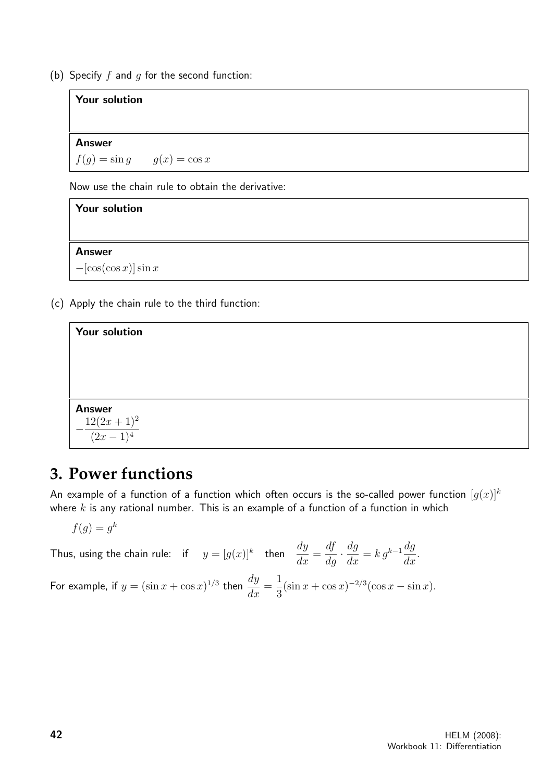(b) Specify  $f$  and  $g$  for the second function:

#### Your solution

Answer  $f(q) = \sin q$   $q(x) = \cos x$ 

Now use the chain rule to obtain the derivative:



(c) Apply the chain rule to the third function:

| <b>Your solution</b>                            |  |
|-------------------------------------------------|--|
|                                                 |  |
|                                                 |  |
|                                                 |  |
| <b>Answer</b><br>$-\frac{12(2x+1)^2}{(2x-1)^4}$ |  |

## **3. Power functions**

An example of a function of a function which often occurs is the so-called power function  $[q(x)]^k$ where  $k$  is any rational number. This is an example of a function of a function in which

$$
f(g) = g^k
$$

Thus, using the chain rule: if  $y = [g(x)]^k$  then  $\frac{dy}{dx}$  $\frac{dy}{dx} =$  $\frac{df}{dg} \cdot \frac{dg}{dx} = k g^{k-1} \frac{dg}{dx}$  $\frac{dy}{dx}$ . For example, if  $y = (\sin x + \cos x)^{1/3}$  then  $\frac{dy}{dx}$  $\frac{dy}{dx} =$ 1 3  $(\sin x + \cos x)^{-2/3} (\cos x - \sin x).$